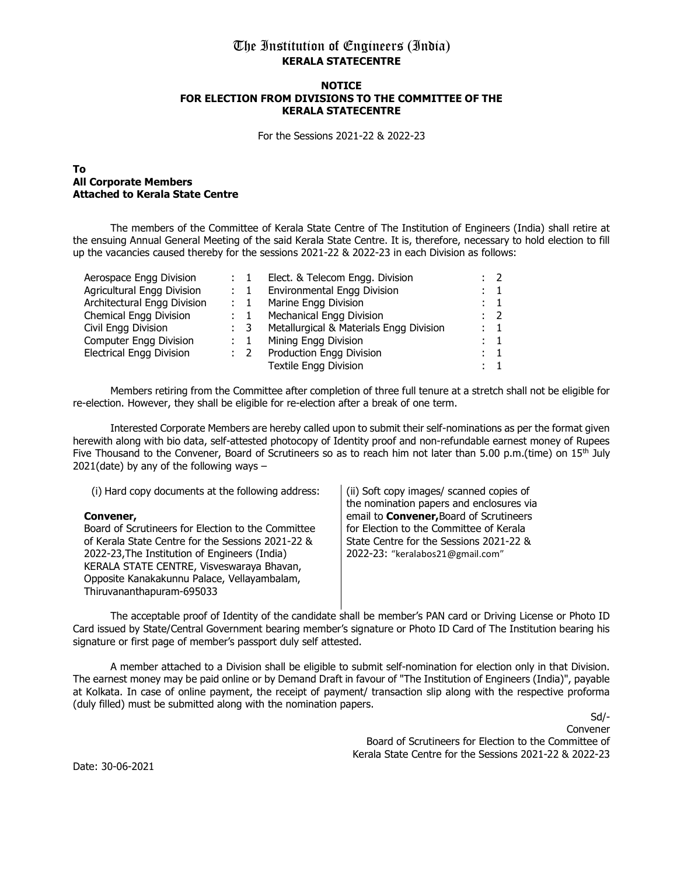# The Institution of Engineers (India) KERALA STATECENTRE

#### **NOTICE** FOR ELECTION FROM DIVISIONS TO THE COMMITTEE OF THE KERALA STATECENTRE

For the Sessions 2021-22 & 2022-23

### To All Corporate Members Attached to Kerala State Centre

The members of the Committee of Kerala State Centre of The Institution of Engineers (India) shall retire at the ensuing Annual General Meeting of the said Kerala State Centre. It is, therefore, necessary to hold election to fill up the vacancies caused thereby for the sessions 2021-22 & 2022-23 in each Division as follows:

| Aerospace Engg Division         | $\therefore$ 1 | Elect. & Telecom Engg. Division         | $\cdot$ 2           |
|---------------------------------|----------------|-----------------------------------------|---------------------|
| Agricultural Engg Division      | $\therefore$ 1 | <b>Environmental Engg Division</b>      | $\therefore$ 1      |
| Architectural Engg Division     | $\therefore$ 1 | Marine Engg Division                    | $\mathbf{1}$        |
| Chemical Engg Division          | $\therefore$ 1 | Mechanical Engg Division                | $\therefore$ 2      |
| Civil Engg Division             | $\therefore$ 3 | Metallurgical & Materials Engg Division | $\pm$ 1             |
| <b>Computer Engg Division</b>   | $\therefore$ 1 | Mining Engg Division                    | $\colon \mathbf{1}$ |
| <b>Electrical Engg Division</b> | $\mathbf{2}$   | Production Engg Division                | $\therefore$ 1      |
|                                 |                | <b>Textile Engg Division</b>            | $\therefore$ 1      |
|                                 |                |                                         |                     |

Members retiring from the Committee after completion of three full tenure at a stretch shall not be eligible for re-election. However, they shall be eligible for re-election after a break of one term.

Interested Corporate Members are hereby called upon to submit their self-nominations as per the format given herewith along with bio data, self-attested photocopy of Identity proof and non-refundable earnest money of Rupees Five Thousand to the Convener, Board of Scrutineers so as to reach him not later than 5.00 p.m.(time) on  $15<sup>th</sup>$  July  $2021$ (date) by any of the following ways  $-$ 

| (i) Hard copy documents at the following address:  | (ii) Soft copy images/ scanned copies of        |
|----------------------------------------------------|-------------------------------------------------|
|                                                    | the nomination papers and enclosures via        |
| Convener,                                          | email to <b>Convener</b> , Board of Scrutineers |
| Board of Scrutineers for Election to the Committee | for Election to the Committee of Kerala         |
| of Kerala State Centre for the Sessions 2021-22 &  | State Centre for the Sessions 2021-22 &         |
| 2022-23, The Institution of Engineers (India)      | 2022-23: "keralabos21@gmail.com"                |
| KERALA STATE CENTRE, Visveswaraya Bhavan,          |                                                 |
| Opposite Kanakakunnu Palace, Vellayambalam,        |                                                 |
| Thiruvananthapuram-695033                          |                                                 |
|                                                    |                                                 |

The acceptable proof of Identity of the candidate shall be member's PAN card or Driving License or Photo ID Card issued by State/Central Government bearing member's signature or Photo ID Card of The Institution bearing his signature or first page of member's passport duly self attested.

A member attached to a Division shall be eligible to submit self-nomination for election only in that Division. The earnest money may be paid online or by Demand Draft in favour of "The Institution of Engineers (India)", payable at Kolkata. In case of online payment, the receipt of payment/ transaction slip along with the respective proforma (duly filled) must be submitted along with the nomination papers.

> Sd/- Convener Board of Scrutineers for Election to the Committee of Kerala State Centre for the Sessions 2021-22 & 2022-23

Date: 30-06-2021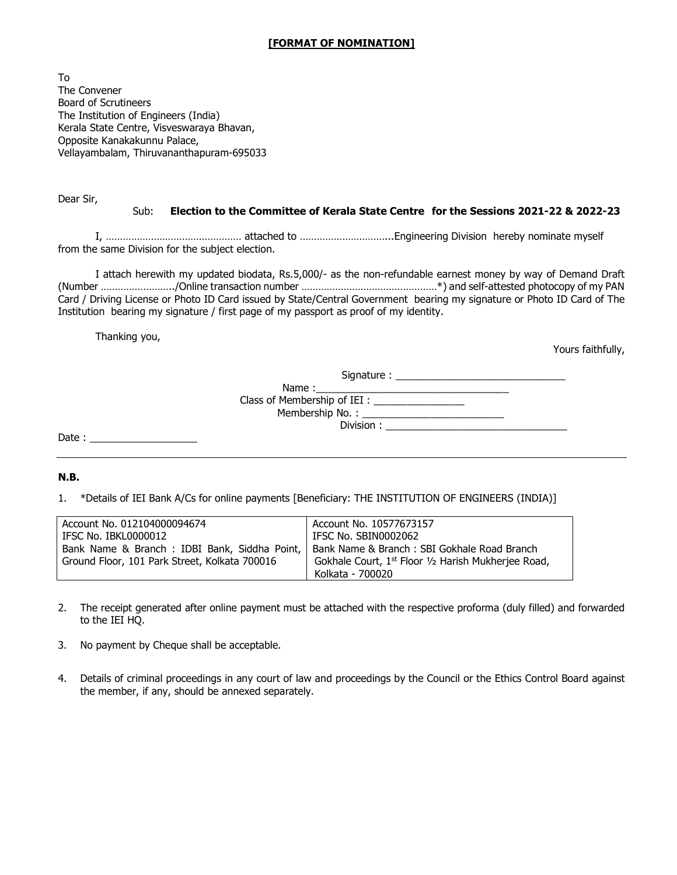### [FORMAT OF NOMINATION]

To The Convener Board of Scrutineers The Institution of Engineers (India) Kerala State Centre, Visveswaraya Bhavan, Opposite Kanakakunnu Palace, Vellayambalam, Thiruvananthapuram-695033

Dear Sir,

#### Sub: Election to the Committee of Kerala State Centre for the Sessions 2021-22 & 2022-23

I, ………………………………………… attached to …………………………...Engineering Division hereby nominate myself from the same Division for the subject election.

 I attach herewith my updated biodata, Rs.5,000/- as the non-refundable earnest money by way of Demand Draft (Number ……………………../Online transaction number …………………………………………\*) and self-attested photocopy of my PAN Card / Driving License or Photo ID Card issued by State/Central Government bearing my signature or Photo ID Card of The Institution bearing my signature / first page of my passport as proof of my identity.

Thanking you,

Yours faithfully,

|       | Class of Membership of IEI : ________________ |  |
|-------|-----------------------------------------------|--|
|       |                                               |  |
|       |                                               |  |
| Date: |                                               |  |

### N.B.

1. \*Details of IEI Bank A/Cs for online payments [Beneficiary: THE INSTITUTION OF ENGINEERS (INDIA)]

| Account No. 012104000094674                   | Account No. 10577673157                                         |
|-----------------------------------------------|-----------------------------------------------------------------|
| IFSC No. IBKL0000012                          | IFSC No. SBIN0002062                                            |
| Bank Name & Branch: IDBI Bank, Siddha Point,  | Bank Name & Branch: SBI Gokhale Road Branch                     |
| Ground Floor, 101 Park Street, Kolkata 700016 | Gokhale Court, 1 <sup>st</sup> Floor 1/2 Harish Mukherjee Road, |
|                                               | Kolkata - 700020                                                |

- 2. The receipt generated after online payment must be attached with the respective proforma (duly filled) and forwarded to the IEI HQ.
- 3. No payment by Cheque shall be acceptable.
- 4. Details of criminal proceedings in any court of law and proceedings by the Council or the Ethics Control Board against the member, if any, should be annexed separately.